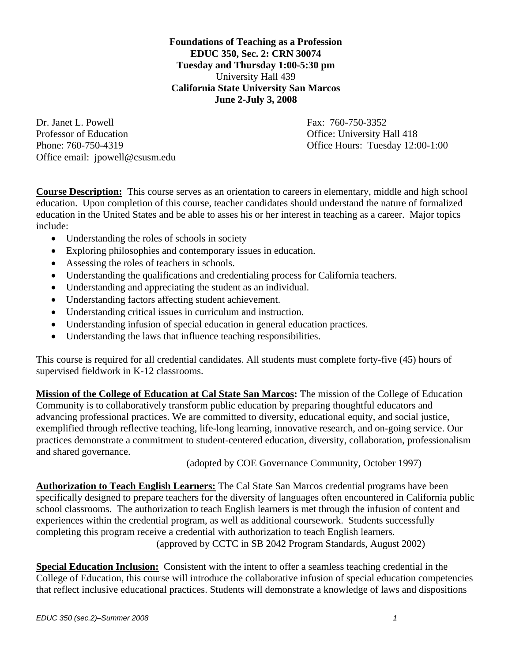**Foundations of Teaching as a Profession EDUC 350, Sec. 2: CRN 30074 Tuesday and Thursday 1:00-5:30 pm**  University Hall 439 **California State University San Marcos June 2-July 3, 2008** 

Dr. Janet L. Powell **Fax: 760-750-3352** Professor of Education **Professor** of Education **Contact Contact Contact Contact Contact Contact Contact Contact Contact Contact Contact Contact Contact Contact Contact Contact Contact Contact Contact Contact Contact Conta** Phone: 760-750-4319 Office Hours: Tuesday 12:00-1:00 Office email: jpowell@csusm.edu

**Course Description:** This course serves as an orientation to careers in elementary, middle and high school education. Upon completion of this course, teacher candidates should understand the nature of formalized education in the United States and be able to asses his or her interest in teaching as a career. Major topics include:

- Understanding the roles of schools in society
- Exploring philosophies and contemporary issues in education.
- Assessing the roles of teachers in schools.
- Understanding the qualifications and credentialing process for California teachers.
- Understanding and appreciating the student as an individual.
- Understanding factors affecting student achievement.
- Understanding critical issues in curriculum and instruction.
- Understanding infusion of special education in general education practices.
- Understanding the laws that influence teaching responsibilities.

This course is required for all credential candidates. All students must complete forty-five (45) hours of supervised fieldwork in K-12 classrooms.

**Mission of the College of Education at Cal State San Marcos:** The mission of the College of Education Community is to collaboratively transform public education by preparing thoughtful educators and advancing professional practices. We are committed to diversity, educational equity, and social justice, exemplified through reflective teaching, life-long learning, innovative research, and on-going service. Our practices demonstrate a commitment to student-centered education, diversity, collaboration, professionalism and shared governance.

(adopted by COE Governance Community, October 1997)

**Authorization to Teach English Learners:** The Cal State San Marcos credential programs have been specifically designed to prepare teachers for the diversity of languages often encountered in California public school classrooms. The authorization to teach English learners is met through the infusion of content and experiences within the credential program, as well as additional coursework. Students successfully completing this program receive a credential with authorization to teach English learners. (approved by CCTC in SB 2042 Program Standards, August 2002)

**Special Education Inclusion:** Consistent with the intent to offer a seamless teaching credential in the College of Education, this course will introduce the collaborative infusion of special education competencies that reflect inclusive educational practices. Students will demonstrate a knowledge of laws and dispositions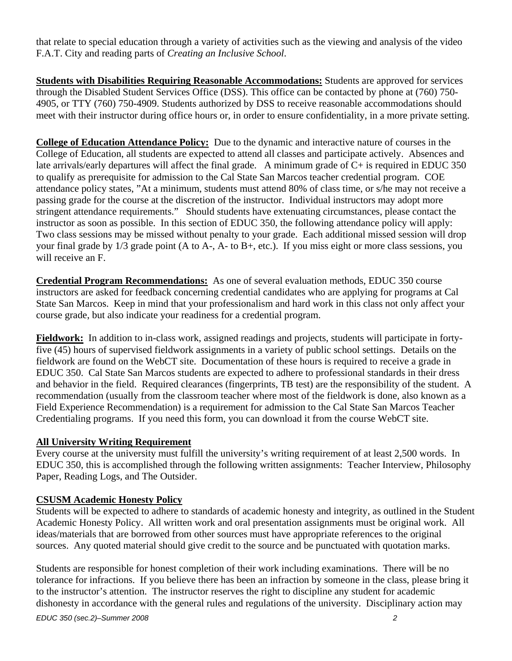that relate to special education through a variety of activities such as the viewing and analysis of the video F.A.T. City and reading parts of *Creating an Inclusive School*.

**Students with Disabilities Requiring Reasonable Accommodations:** Students are approved for services through the Disabled Student Services Office (DSS). This office can be contacted by phone at (760) 750- 4905, or TTY (760) 750-4909. Students authorized by DSS to receive reasonable accommodations should meet with their instructor during office hours or, in order to ensure confidentiality, in a more private setting.

**College of Education Attendance Policy:** Due to the dynamic and interactive nature of courses in the College of Education, all students are expected to attend all classes and participate actively. Absences and late arrivals/early departures will affect the final grade. A minimum grade of C+ is required in EDUC 350 to qualify as prerequisite for admission to the Cal State San Marcos teacher credential program. COE attendance policy states, "At a minimum, students must attend 80% of class time, or s/he may not receive a passing grade for the course at the discretion of the instructor. Individual instructors may adopt more stringent attendance requirements." Should students have extenuating circumstances, please contact the instructor as soon as possible. In this section of EDUC 350, the following attendance policy will apply: Two class sessions may be missed without penalty to your grade. Each additional missed session will drop your final grade by 1/3 grade point (A to A-, A- to B+, etc.). If you miss eight or more class sessions, you will receive an F.

**Credential Program Recommendations:** As one of several evaluation methods, EDUC 350 course instructors are asked for feedback concerning credential candidates who are applying for programs at Cal State San Marcos. Keep in mind that your professionalism and hard work in this class not only affect your course grade, but also indicate your readiness for a credential program.

**Fieldwork:** In addition to in-class work, assigned readings and projects, students will participate in fortyfive (45) hours of supervised fieldwork assignments in a variety of public school settings. Details on the fieldwork are found on the WebCT site. Documentation of these hours is required to receive a grade in EDUC 350. Cal State San Marcos students are expected to adhere to professional standards in their dress and behavior in the field. Required clearances (fingerprints, TB test) are the responsibility of the student. A recommendation (usually from the classroom teacher where most of the fieldwork is done, also known as a Field Experience Recommendation) is a requirement for admission to the Cal State San Marcos Teacher Credentialing programs. If you need this form, you can download it from the course WebCT site.

## **All University Writing Requirement**

Every course at the university must fulfill the university's writing requirement of at least 2,500 words. In EDUC 350, this is accomplished through the following written assignments: Teacher Interview, Philosophy Paper, Reading Logs, and The Outsider.

# **CSUSM Academic Honesty Policy**

Students will be expected to adhere to standards of academic honesty and integrity, as outlined in the Student Academic Honesty Policy. All written work and oral presentation assignments must be original work. All ideas/materials that are borrowed from other sources must have appropriate references to the original sources. Any quoted material should give credit to the source and be punctuated with quotation marks.

Students are responsible for honest completion of their work including examinations. There will be no tolerance for infractions. If you believe there has been an infraction by someone in the class, please bring it to the instructor's attention. The instructor reserves the right to discipline any student for academic dishonesty in accordance with the general rules and regulations of the university. Disciplinary action may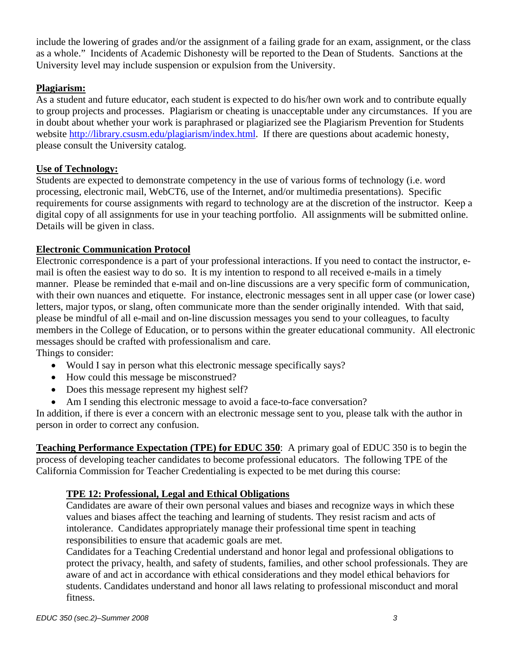include the lowering of grades and/or the assignment of a failing grade for an exam, assignment, or the class as a whole." Incidents of Academic Dishonesty will be reported to the Dean of Students. Sanctions at the University level may include suspension or expulsion from the University.

# **Plagiarism:**

As a student and future educator, each student is expected to do his/her own work and to contribute equally to group projects and processes. Plagiarism or cheating is unacceptable under any circumstances. If you are in doubt about whether your work is paraphrased or plagiarized see the Plagiarism Prevention for Students website http://library.csusm.edu/plagiarism/index.html. If there are questions about academic honesty, please consult the University catalog.

#### **Use of Technology:**

Students are expected to demonstrate competency in the use of various forms of technology (i.e. word processing, electronic mail, WebCT6, use of the Internet, and/or multimedia presentations). Specific requirements for course assignments with regard to technology are at the discretion of the instructor. Keep a digital copy of all assignments for use in your teaching portfolio. All assignments will be submitted online. Details will be given in class.

#### **Electronic Communication Protocol**

Electronic correspondence is a part of your professional interactions. If you need to contact the instructor, email is often the easiest way to do so. It is my intention to respond to all received e-mails in a timely manner. Please be reminded that e-mail and on-line discussions are a very specific form of communication, with their own nuances and etiquette. For instance, electronic messages sent in all upper case (or lower case) letters, major typos, or slang, often communicate more than the sender originally intended. With that said, please be mindful of all e-mail and on-line discussion messages you send to your colleagues, to faculty members in the College of Education, or to persons within the greater educational community. All electronic messages should be crafted with professionalism and care.

Things to consider:

- Would I say in person what this electronic message specifically says?
- How could this message be misconstrued?
- Does this message represent my highest self?
- Am I sending this electronic message to avoid a face-to-face conversation?

In addition, if there is ever a concern with an electronic message sent to you, please talk with the author in person in order to correct any confusion.

**Teaching Performance Expectation (TPE) for EDUC 350**: A primary goal of EDUC 350 is to begin the process of developing teacher candidates to become professional educators. The following TPE of the California Commission for Teacher Credentialing is expected to be met during this course:

## **TPE 12: Professional, Legal and Ethical Obligations**

Candidates are aware of their own personal values and biases and recognize ways in which these values and biases affect the teaching and learning of students. They resist racism and acts of intolerance. Candidates appropriately manage their professional time spent in teaching responsibilities to ensure that academic goals are met.

Candidates for a Teaching Credential understand and honor legal and professional obligations to protect the privacy, health, and safety of students, families, and other school professionals. They are aware of and act in accordance with ethical considerations and they model ethical behaviors for students. Candidates understand and honor all laws relating to professional misconduct and moral fitness.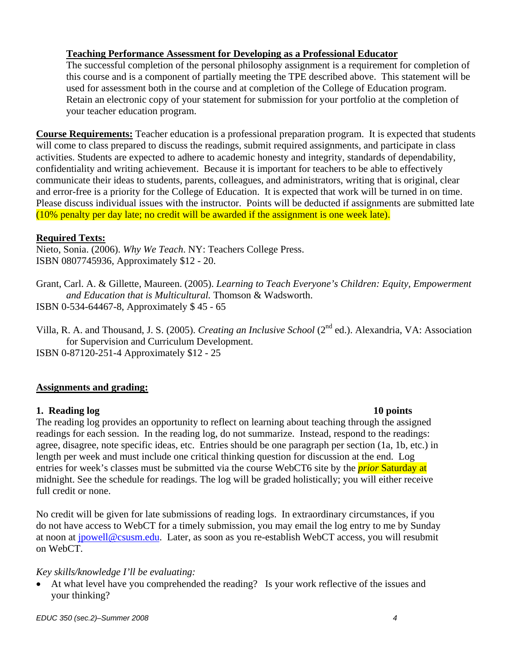#### **Teaching Performance Assessment for Developing as a Professional Educator**

The successful completion of the personal philosophy assignment is a requirement for completion of this course and is a component of partially meeting the TPE described above. This statement will be used for assessment both in the course and at completion of the College of Education program. Retain an electronic copy of your statement for submission for your portfolio at the completion of your teacher education program.

**Course Requirements:** Teacher education is a professional preparation program. It is expected that students will come to class prepared to discuss the readings, submit required assignments, and participate in class activities. Students are expected to adhere to academic honesty and integrity, standards of dependability, confidentiality and writing achievement. Because it is important for teachers to be able to effectively communicate their ideas to students, parents, colleagues, and administrators, writing that is original, clear and error-free is a priority for the College of Education. It is expected that work will be turned in on time. Please discuss individual issues with the instructor. Points will be deducted if assignments are submitted late (10% penalty per day late; no credit will be awarded if the assignment is one week late).

#### **Required Texts:**

Nieto, Sonia. (2006). *Why We Teach*. NY: Teachers College Press. ISBN 0807745936, Approximately \$12 - 20.

- Grant, Carl. A. & Gillette, Maureen. (2005). *Learning to Teach Everyone's Children: Equity, Empowerment and Education that is Multicultural.* Thomson & Wadsworth. ISBN 0-534-64467-8, Approximately \$ 45 - 65
- Villa, R. A. and Thousand, J. S. (2005). *Creating an Inclusive School* (2nd ed.). Alexandria, VA: Association for Supervision and Curriculum Development. ISBN 0-87120-251-4 Approximately \$12 - 25

## **Assignments and grading:**

## **1. Reading log 10 points**

The reading log provides an opportunity to reflect on learning about teaching through the assigned readings for each session. In the reading log, do not summarize. Instead, respond to the readings: agree, disagree, note specific ideas, etc. Entries should be one paragraph per section (1a, 1b, etc.) in length per week and must include one critical thinking question for discussion at the end. Log entries for week's classes must be submitted via the course WebCT6 site by the *prior* Saturday at midnight. See the schedule for readings. The log will be graded holistically; you will either receive full credit or none.

No credit will be given for late submissions of reading logs. In extraordinary circumstances, if you do not have access to WebCT for a timely submission, you may email the log entry to me by Sunday at noon at jpowell@csusm.edu. Later, as soon as you re-establish WebCT access, you will resubmit on WebCT.

#### *Key skills/knowledge I'll be evaluating:*

• At what level have you comprehended the reading? Is your work reflective of the issues and your thinking?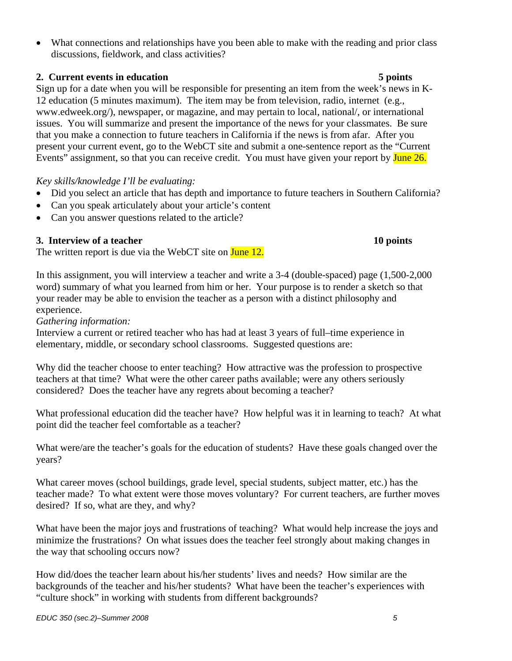• What connections and relationships have you been able to make with the reading and prior class discussions, fieldwork, and class activities?

#### **2. Current events in education 5 points**

Sign up for a date when you will be responsible for presenting an item from the week's news in K-12 education (5 minutes maximum). The item may be from television, radio, internet (e.g., www.edweek.org/), newspaper, or magazine, and may pertain to local, national/, or international issues. You will summarize and present the importance of the news for your classmates. Be sure that you make a connection to future teachers in California if the news is from afar. After you present your current event, go to the WebCT site and submit a one-sentence report as the "Current Events" assignment, so that you can receive credit. You must have given your report by June 26.

#### *Key skills/knowledge I'll be evaluating:*

- Did you select an article that has depth and importance to future teachers in Southern California?
- Can you speak articulately about your article's content
- Can you answer questions related to the article?

#### **3. Interview of a teacher 10 points**

The written report is due via the WebCT site on **June 12.** 

In this assignment, you will interview a teacher and write a 3-4 (double-spaced) page (1,500-2,000 word) summary of what you learned from him or her. Your purpose is to render a sketch so that your reader may be able to envision the teacher as a person with a distinct philosophy and experience.

*Gathering information:* 

Interview a current or retired teacher who has had at least 3 years of full–time experience in elementary, middle, or secondary school classrooms. Suggested questions are:

Why did the teacher choose to enter teaching? How attractive was the profession to prospective teachers at that time? What were the other career paths available; were any others seriously considered? Does the teacher have any regrets about becoming a teacher?

What professional education did the teacher have? How helpful was it in learning to teach? At what point did the teacher feel comfortable as a teacher?

What were/are the teacher's goals for the education of students? Have these goals changed over the years?

What career moves (school buildings, grade level, special students, subject matter, etc.) has the teacher made? To what extent were those moves voluntary? For current teachers, are further moves desired? If so, what are they, and why?

What have been the major joys and frustrations of teaching? What would help increase the joys and minimize the frustrations? On what issues does the teacher feel strongly about making changes in the way that schooling occurs now?

How did/does the teacher learn about his/her students' lives and needs? How similar are the backgrounds of the teacher and his/her students? What have been the teacher's experiences with "culture shock" in working with students from different backgrounds?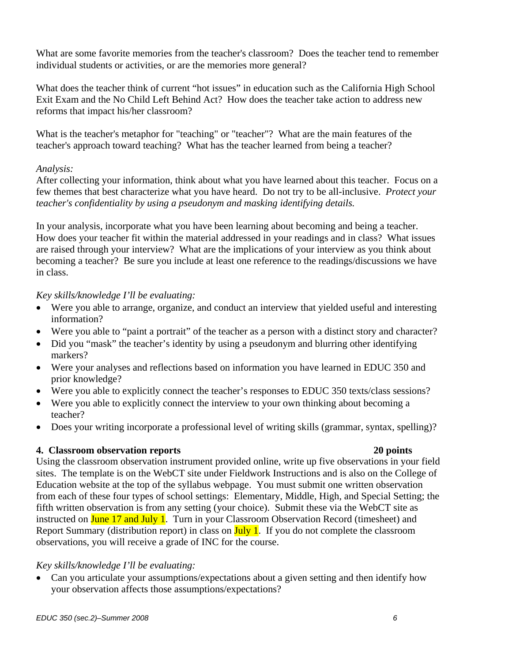What are some favorite memories from the teacher's classroom? Does the teacher tend to remember individual students or activities, or are the memories more general?

What does the teacher think of current "hot issues" in education such as the California High School Exit Exam and the No Child Left Behind Act? How does the teacher take action to address new reforms that impact his/her classroom?

What is the teacher's metaphor for "teaching" or "teacher"? What are the main features of the teacher's approach toward teaching? What has the teacher learned from being a teacher?

#### *Analysis:*

After collecting your information, think about what you have learned about this teacher. Focus on a few themes that best characterize what you have heard. Do not try to be all-inclusive. *Protect your teacher's confidentiality by using a pseudonym and masking identifying details.* 

In your analysis, incorporate what you have been learning about becoming and being a teacher. How does your teacher fit within the material addressed in your readings and in class? What issues are raised through your interview? What are the implications of your interview as you think about becoming a teacher? Be sure you include at least one reference to the readings/discussions we have in class.

## *Key skills/knowledge I'll be evaluating:*

- Were you able to arrange, organize, and conduct an interview that yielded useful and interesting information?
- Were you able to "paint a portrait" of the teacher as a person with a distinct story and character?
- Did you "mask" the teacher's identity by using a pseudonym and blurring other identifying markers?
- Were your analyses and reflections based on information you have learned in EDUC 350 and prior knowledge?
- Were you able to explicitly connect the teacher's responses to EDUC 350 texts/class sessions?
- Were you able to explicitly connect the interview to your own thinking about becoming a teacher?
- Does your writing incorporate a professional level of writing skills (grammar, syntax, spelling)?

## **4. Classroom observation reports 20 points**

Using the classroom observation instrument provided online, write up five observations in your field sites. The template is on the WebCT site under Fieldwork Instructions and is also on the College of Education website at the top of the syllabus webpage. You must submit one written observation from each of these four types of school settings: Elementary, Middle, High, and Special Setting; the fifth written observation is from any setting (your choice). Submit these via the WebCT site as instructed on June 17 and July 1. Turn in your Classroom Observation Record (timesheet) and Report Summary (distribution report) in class on  $\frac{July}{l}$ . If you do not complete the classroom observations, you will receive a grade of INC for the course.

## *Key skills/knowledge I'll be evaluating:*

• Can you articulate your assumptions/expectations about a given setting and then identify how your observation affects those assumptions/expectations?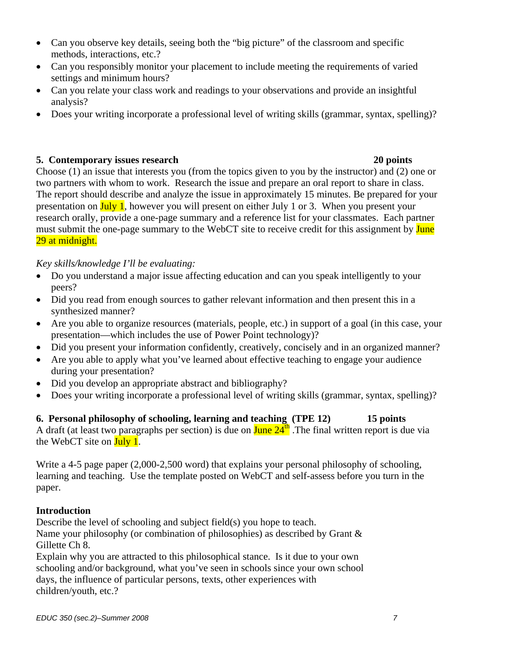- Can you observe key details, seeing both the "big picture" of the classroom and specific methods, interactions, etc.?
- Can you responsibly monitor your placement to include meeting the requirements of varied settings and minimum hours?
- Can you relate your class work and readings to your observations and provide an insightful analysis?
- Does your writing incorporate a professional level of writing skills (grammar, syntax, spelling)?

#### **5. Contemporary issues research 20 points**

Choose (1) an issue that interests you (from the topics given to you by the instructor) and (2) one or two partners with whom to work. Research the issue and prepare an oral report to share in class. The report should describe and analyze the issue in approximately 15 minutes. Be prepared for your presentation on July 1, however you will present on either July 1 or 3. When you present your research orally, provide a one-page summary and a reference list for your classmates. Each partner must submit the one-page summary to the WebCT site to receive credit for this assignment by **June** 29 at midnight.

*Key skills/knowledge I'll be evaluating:* 

- Do you understand a major issue affecting education and can you speak intelligently to your peers?
- Did you read from enough sources to gather relevant information and then present this in a synthesized manner?
- Are you able to organize resources (materials, people, etc.) in support of a goal (in this case, your presentation—which includes the use of Power Point technology)?
- Did you present your information confidently, creatively, concisely and in an organized manner?
- Are you able to apply what you've learned about effective teaching to engage your audience during your presentation?
- Did you develop an appropriate abstract and bibliography?
- Does your writing incorporate a professional level of writing skills (grammar, syntax, spelling)?

**6. Personal philosophy of schooling, learning and teaching (TPE 12) 15 points**  A draft (at least two paragraphs per section) is due on  $\text{June } 24^{\text{th}}$ . The final written report is due via the WebCT site on  $\frac{\text{July } 1.}{\text{July } 1.}$ 

Write a 4-5 page paper (2,000-2,500 word) that explains your personal philosophy of schooling, learning and teaching. Use the template posted on WebCT and self-assess before you turn in the paper.

## **Introduction**

Describe the level of schooling and subject field(s) you hope to teach. Name your philosophy (or combination of philosophies) as described by Grant  $\&$ Gillette Ch 8.

Explain why you are attracted to this philosophical stance. Is it due to your own schooling and/or background, what you've seen in schools since your own school days, the influence of particular persons, texts, other experiences with children/youth, etc.?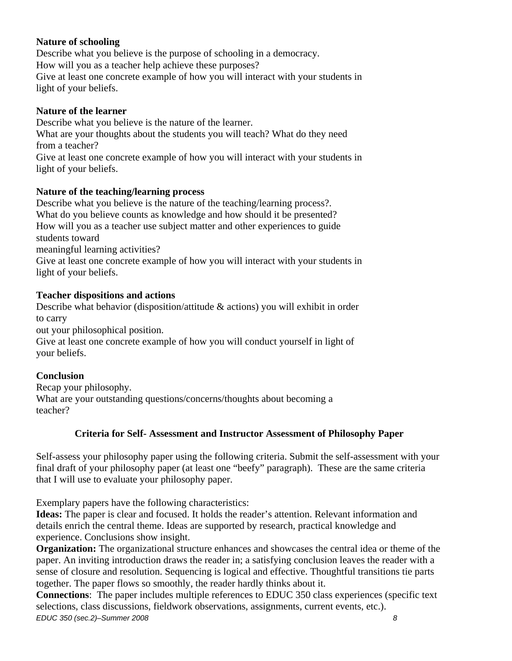# **Nature of schooling**

Describe what you believe is the purpose of schooling in a democracy. How will you as a teacher help achieve these purposes? Give at least one concrete example of how you will interact with your students in light of your beliefs.

#### **Nature of the learner**

Describe what you believe is the nature of the learner.

What are your thoughts about the students you will teach? What do they need from a teacher?

Give at least one concrete example of how you will interact with your students in light of your beliefs.

#### **Nature of the teaching/learning process**

Describe what you believe is the nature of the teaching/learning process?. What do you believe counts as knowledge and how should it be presented? How will you as a teacher use subject matter and other experiences to guide students toward

meaningful learning activities?

Give at least one concrete example of how you will interact with your students in light of your beliefs.

#### **Teacher dispositions and actions**

Describe what behavior (disposition/attitude & actions) you will exhibit in order to carry

out your philosophical position.

Give at least one concrete example of how you will conduct yourself in light of your beliefs.

#### **Conclusion**

Recap your philosophy. What are your outstanding questions/concerns/thoughts about becoming a teacher?

## **Criteria for Self- Assessment and Instructor Assessment of Philosophy Paper**

Self-assess your philosophy paper using the following criteria. Submit the self-assessment with your final draft of your philosophy paper (at least one "beefy" paragraph). These are the same criteria that I will use to evaluate your philosophy paper.

Exemplary papers have the following characteristics:

**Ideas:** The paper is clear and focused. It holds the reader's attention. Relevant information and details enrich the central theme. Ideas are supported by research, practical knowledge and experience. Conclusions show insight.

**Organization:** The organizational structure enhances and showcases the central idea or theme of the paper. An inviting introduction draws the reader in; a satisfying conclusion leaves the reader with a sense of closure and resolution. Sequencing is logical and effective. Thoughtful transitions tie parts together. The paper flows so smoothly, the reader hardly thinks about it.

*EDUC 350 (sec.2)–Summer 2008 8*  **Connections**: The paper includes multiple references to EDUC 350 class experiences (specific text selections, class discussions, fieldwork observations, assignments, current events, etc.).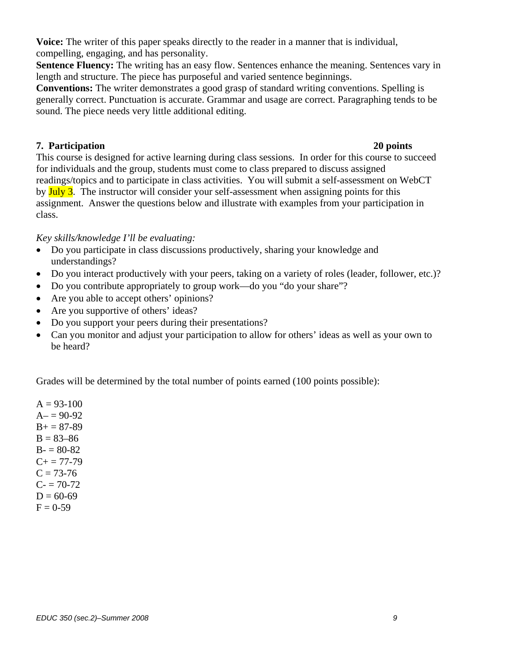**Voice:** The writer of this paper speaks directly to the reader in a manner that is individual, compelling, engaging, and has personality.

**Sentence Fluency:** The writing has an easy flow. Sentences enhance the meaning. Sentences vary in length and structure. The piece has purposeful and varied sentence beginnings.

**Conventions:** The writer demonstrates a good grasp of standard writing conventions. Spelling is generally correct. Punctuation is accurate. Grammar and usage are correct. Paragraphing tends to be sound. The piece needs very little additional editing.

#### **7. Participation 20 points**

This course is designed for active learning during class sessions. In order for this course to succeed for individuals and the group, students must come to class prepared to discuss assigned readings/topics and to participate in class activities. You will submit a self-assessment on WebCT by July 3. The instructor will consider your self-assessment when assigning points for this assignment. Answer the questions below and illustrate with examples from your participation in class.

*Key skills/knowledge I'll be evaluating:* 

- Do you participate in class discussions productively, sharing your knowledge and understandings?
- Do you interact productively with your peers, taking on a variety of roles (leader, follower, etc.)?
- Do you contribute appropriately to group work—do you "do your share"?
- Are you able to accept others' opinions?
- Are you supportive of others' ideas?
- Do you support your peers during their presentations?
- Can you monitor and adjust your participation to allow for others' ideas as well as your own to be heard?

Grades will be determined by the total number of points earned (100 points possible):

 $A = 93-100$  $A = 90-92$  $B+=87-89$  $B = 83 - 86$  $B - 80 - 82$  $C+= 77-79$  $C = 73-76$  $C = 70-72$  $D = 60-69$  $F = 0-59$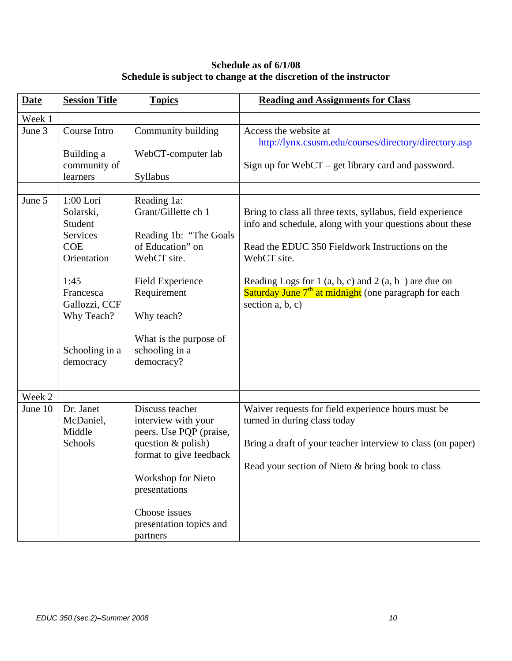# **Schedule as of 6/1/08 Schedule is subject to change at the discretion of the instructor**

| <b>Date</b> | <b>Session Title</b>                                                                                                                                            | <b>Topics</b>                                                                                                                                                                                                      | <b>Reading and Assignments for Class</b>                                                                                                                                                                                                                                                                                                   |
|-------------|-----------------------------------------------------------------------------------------------------------------------------------------------------------------|--------------------------------------------------------------------------------------------------------------------------------------------------------------------------------------------------------------------|--------------------------------------------------------------------------------------------------------------------------------------------------------------------------------------------------------------------------------------------------------------------------------------------------------------------------------------------|
| Week 1      |                                                                                                                                                                 |                                                                                                                                                                                                                    |                                                                                                                                                                                                                                                                                                                                            |
| June 3      | Course Intro<br>Building a<br>community of<br>learners                                                                                                          | Community building<br>WebCT-computer lab<br>Syllabus                                                                                                                                                               | Access the website at<br>http://lynx.csusm.edu/courses/directory/directory.asp<br>Sign up for $WebCT - get$ library card and password.                                                                                                                                                                                                     |
|             |                                                                                                                                                                 |                                                                                                                                                                                                                    |                                                                                                                                                                                                                                                                                                                                            |
| June 5      | $1:00$ Lori<br>Solarski,<br>Student<br>Services<br><b>COE</b><br>Orientation<br>1:45<br>Francesca<br>Gallozzi, CCF<br>Why Teach?<br>Schooling in a<br>democracy | Reading 1a:<br>Grant/Gillette ch 1<br>Reading 1b: "The Goals"<br>of Education" on<br>WebCT site.<br><b>Field Experience</b><br>Requirement<br>Why teach?<br>What is the purpose of<br>schooling in a<br>democracy? | Bring to class all three texts, syllabus, field experience<br>info and schedule, along with your questions about these<br>Read the EDUC 350 Fieldwork Instructions on the<br>WebCT site.<br>Reading Logs for 1 (a, b, c) and 2 (a, b) are due on<br>Saturday June 7 <sup>th</sup> at midnight (one paragraph for each<br>section $a, b, c$ |
| Week 2      |                                                                                                                                                                 |                                                                                                                                                                                                                    |                                                                                                                                                                                                                                                                                                                                            |
| June 10     | Dr. Janet<br>McDaniel,<br>Middle<br>Schools                                                                                                                     | Discuss teacher<br>interview with your<br>peers. Use PQP (praise,<br>question & polish)<br>format to give feedback<br>Workshop for Nieto<br>presentations<br>Choose issues<br>presentation topics and<br>partners  | Waiver requests for field experience hours must be<br>turned in during class today<br>Bring a draft of your teacher interview to class (on paper)<br>Read your section of Nieto & bring book to class                                                                                                                                      |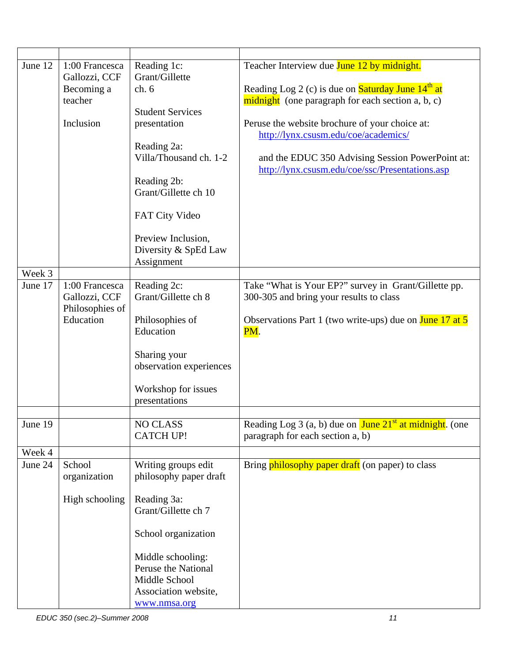| June 12 | 1:00 Francesca  | Reading 1c:             | Teacher Interview due June 12 by midnight.                                                          |
|---------|-----------------|-------------------------|-----------------------------------------------------------------------------------------------------|
|         | Gallozzi, CCF   | Grant/Gillette          |                                                                                                     |
|         | Becoming a      | ch.6                    | Reading Log 2 (c) is due on <b>Saturday June 14<sup>th</sup> at</b>                                 |
|         | teacher         |                         | midnight (one paragraph for each section a, b, c)                                                   |
|         |                 | <b>Student Services</b> |                                                                                                     |
|         | Inclusion       | presentation            | Peruse the website brochure of your choice at:                                                      |
|         |                 |                         | http://lynx.csusm.edu/coe/academics/                                                                |
|         |                 | Reading 2a:             |                                                                                                     |
|         |                 | Villa/Thousand ch. 1-2  | and the EDUC 350 Advising Session PowerPoint at:                                                    |
|         |                 |                         | http://lynx.csusm.edu/coe/ssc/Presentations.asp                                                     |
|         |                 |                         |                                                                                                     |
|         |                 | Reading 2b:             |                                                                                                     |
|         |                 | Grant/Gillette ch 10    |                                                                                                     |
|         |                 |                         |                                                                                                     |
|         |                 | <b>FAT City Video</b>   |                                                                                                     |
|         |                 |                         |                                                                                                     |
|         |                 | Preview Inclusion,      |                                                                                                     |
|         |                 | Diversity & SpEd Law    |                                                                                                     |
|         |                 | Assignment              |                                                                                                     |
| Week 3  |                 |                         |                                                                                                     |
| June 17 | 1:00 Francesca  | Reading 2c:             | Take "What is Your EP?" survey in Grant/Gillette pp.                                                |
|         | Gallozzi, CCF   | Grant/Gillette ch 8     | 300-305 and bring your results to class                                                             |
|         | Philosophies of |                         |                                                                                                     |
|         | Education       | Philosophies of         | Observations Part 1 (two write-ups) due on <b>June 17 at 5</b>                                      |
|         |                 | Education               | PM.                                                                                                 |
|         |                 |                         |                                                                                                     |
|         |                 | Sharing your            |                                                                                                     |
|         |                 | observation experiences |                                                                                                     |
|         |                 |                         |                                                                                                     |
|         |                 | Workshop for issues     |                                                                                                     |
|         |                 | presentations           |                                                                                                     |
|         |                 |                         |                                                                                                     |
| June 19 |                 | NO CLASS                | Reading Log 3 (a, b) due on $\frac{\text{June } 21^{\text{st}} \text{ at midnight.}}{\text{(one)}}$ |
|         |                 | <b>CATCH UP!</b>        | paragraph for each section a, b)                                                                    |
| Week 4  |                 |                         |                                                                                                     |
| June 24 | School          | Writing groups edit     | Bring <b>philosophy paper draft</b> (on paper) to class                                             |
|         | organization    | philosophy paper draft  |                                                                                                     |
|         |                 |                         |                                                                                                     |
|         | High schooling  | Reading 3a:             |                                                                                                     |
|         |                 | Grant/Gillette ch 7     |                                                                                                     |
|         |                 |                         |                                                                                                     |
|         |                 | School organization     |                                                                                                     |
|         |                 |                         |                                                                                                     |
|         |                 | Middle schooling:       |                                                                                                     |
|         |                 | Peruse the National     |                                                                                                     |
|         |                 | Middle School           |                                                                                                     |
|         |                 | Association website,    |                                                                                                     |
|         |                 | www.nmsa.org            |                                                                                                     |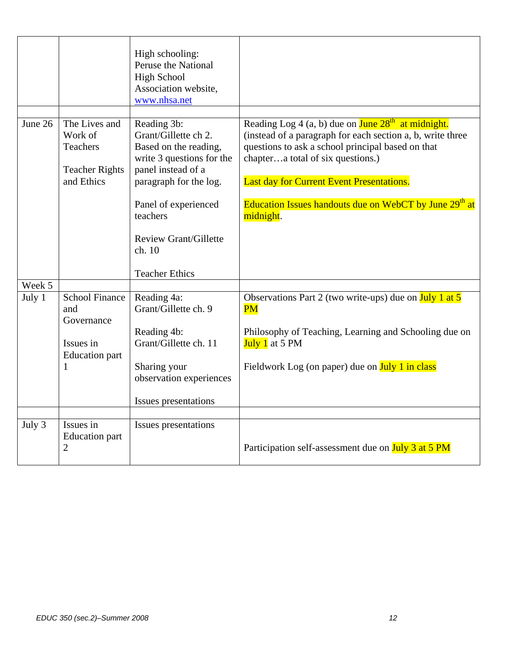|         |                                                                                       | High schooling:<br>Peruse the National<br><b>High School</b><br>Association website,<br>www.nhsa.net                                                                                                                                             |                                                                                                                                                                                                                                                                                                                                              |
|---------|---------------------------------------------------------------------------------------|--------------------------------------------------------------------------------------------------------------------------------------------------------------------------------------------------------------------------------------------------|----------------------------------------------------------------------------------------------------------------------------------------------------------------------------------------------------------------------------------------------------------------------------------------------------------------------------------------------|
| June 26 | The Lives and<br>Work of<br><b>Teachers</b><br><b>Teacher Rights</b><br>and Ethics    | Reading 3b:<br>Grant/Gillette ch 2.<br>Based on the reading,<br>write 3 questions for the<br>panel instead of a<br>paragraph for the log.<br>Panel of experienced<br>teachers<br><b>Review Grant/Gillette</b><br>ch. 10<br><b>Teacher Ethics</b> | Reading Log 4 (a, b) due on June $28th$ at midnight.<br>(instead of a paragraph for each section a, b, write three<br>questions to ask a school principal based on that<br>chaptera total of six questions.)<br>Last day for Current Event Presentations.<br>Education Issues handouts due on WebCT by June 29 <sup>th</sup> at<br>midnight. |
| Week 5  |                                                                                       |                                                                                                                                                                                                                                                  |                                                                                                                                                                                                                                                                                                                                              |
| July 1  | <b>School Finance</b><br>and<br>Governance<br>Issues in<br><b>Education</b> part<br>1 | Reading 4a:<br>Grant/Gillette ch. 9<br>Reading 4b:<br>Grant/Gillette ch. 11<br>Sharing your<br>observation experiences<br>Issues presentations                                                                                                   | Observations Part 2 (two write-ups) due on $\frac{\text{July 1 at 5}}{\text{July 1 at 5}}$<br>PM<br>Philosophy of Teaching, Learning and Schooling due on<br>July 1 at 5 PM<br>Fieldwork Log (on paper) due on July 1 in class                                                                                                               |
| July 3  | Issues in                                                                             | Issues presentations                                                                                                                                                                                                                             |                                                                                                                                                                                                                                                                                                                                              |
|         | <b>Education</b> part<br>$\overline{2}$                                               |                                                                                                                                                                                                                                                  | Participation self-assessment due on July 3 at 5 PM                                                                                                                                                                                                                                                                                          |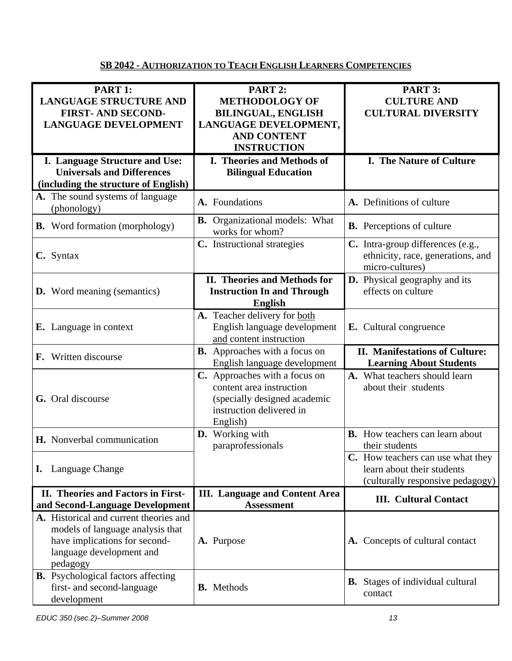# **SB 2042 - AUTHORIZATION TO TEACH ENGLISH LEARNERS COMPETENCIES**

| PART 1:                                                                   | PART 2:                                                    | PART 3:                                            |
|---------------------------------------------------------------------------|------------------------------------------------------------|----------------------------------------------------|
| <b>LANGUAGE STRUCTURE AND</b>                                             | <b>METHODOLOGY OF</b>                                      | <b>CULTURE AND</b>                                 |
| <b>FIRST-AND SECOND-</b>                                                  | <b>BILINGUAL, ENGLISH</b>                                  | <b>CULTURAL DIVERSITY</b>                          |
| <b>LANGUAGE DEVELOPMENT</b>                                               | LANGUAGE DEVELOPMENT,                                      |                                                    |
|                                                                           | <b>AND CONTENT</b>                                         |                                                    |
|                                                                           | <b>INSTRUCTION</b>                                         |                                                    |
| I. Language Structure and Use:                                            | I. Theories and Methods of                                 | I. The Nature of Culture                           |
| <b>Universals and Differences</b>                                         | <b>Bilingual Education</b>                                 |                                                    |
| (including the structure of English)                                      |                                                            |                                                    |
| A. The sound systems of language                                          |                                                            |                                                    |
| (phonology)                                                               | A. Foundations                                             | A. Definitions of culture                          |
|                                                                           | <b>B.</b> Organizational models: What                      |                                                    |
| <b>B.</b> Word formation (morphology)                                     | works for whom?                                            | <b>B.</b> Perceptions of culture                   |
|                                                                           | C. Instructional strategies                                | C. Intra-group differences (e.g.,                  |
| C. Syntax                                                                 |                                                            | ethnicity, race, generations, and                  |
|                                                                           |                                                            | micro-cultures)                                    |
|                                                                           | II. Theories and Methods for                               | <b>D.</b> Physical geography and its               |
| <b>D.</b> Word meaning (semantics)                                        | <b>Instruction In and Through</b>                          | effects on culture                                 |
|                                                                           | <b>English</b>                                             |                                                    |
|                                                                           | A. Teacher delivery for both                               |                                                    |
| <b>E.</b> Language in context                                             | English language development                               | E. Cultural congruence                             |
|                                                                           | and content instruction                                    |                                                    |
|                                                                           |                                                            |                                                    |
|                                                                           | <b>B.</b> Approaches with a focus on                       | <b>II. Manifestations of Culture:</b>              |
| F. Written discourse                                                      | English language development                               | <b>Learning About Students</b>                     |
|                                                                           | C. Approaches with a focus on                              | A. What teachers should learn                      |
|                                                                           | content area instruction                                   | about their students                               |
| G. Oral discourse                                                         | (specially designed academic                               |                                                    |
|                                                                           | instruction delivered in                                   |                                                    |
|                                                                           | English)                                                   |                                                    |
| H. Nonverbal communication                                                | D. Working with                                            | <b>B.</b> How teachers can learn about             |
|                                                                           | paraprofessionals                                          | their students                                     |
|                                                                           |                                                            | C. How teachers can use what they                  |
| Language Change<br>I.                                                     |                                                            | learn about their students                         |
|                                                                           |                                                            | (culturally responsive pedagogy)                   |
| II. Theories and Factors in First-                                        | <b>III.</b> Language and Content Area<br><b>Assessment</b> | <b>III.</b> Cultural Contact                       |
| and Second-Language Development<br>A. Historical and current theories and |                                                            |                                                    |
|                                                                           |                                                            |                                                    |
| models of language analysis that<br>have implications for second-         | A. Purpose                                                 | A. Concepts of cultural contact                    |
| language development and                                                  |                                                            |                                                    |
| pedagogy                                                                  |                                                            |                                                    |
| <b>B.</b> Psychological factors affecting                                 |                                                            |                                                    |
| first- and second-language                                                | <b>B.</b> Methods                                          | <b>B.</b> Stages of individual cultural<br>contact |